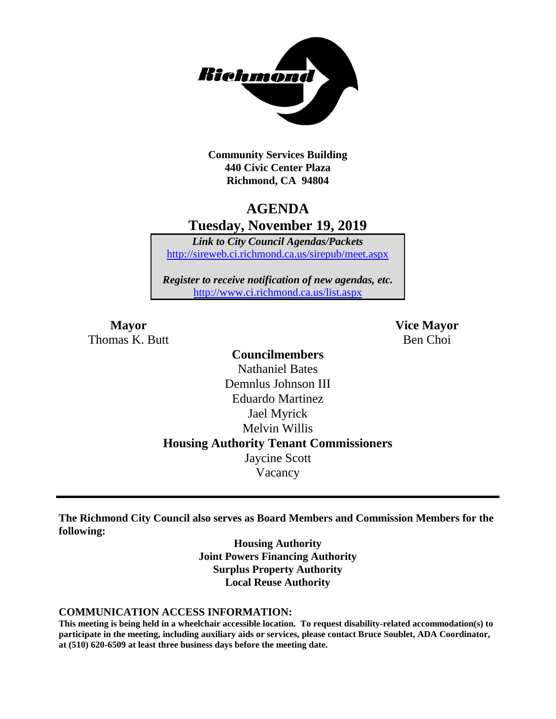

**Community Services Building 440 Civic Center Plaza Richmond, CA 94804**

# **AGENDA Tuesday, November 19, 2019**

*Link to City Council Agendas/Packets* <http://sireweb.ci.richmond.ca.us/sirepub/meet.aspx>

*Register to receive notification of new agendas, etc.* <http://www.ci.richmond.ca.us/list.aspx>

Thomas K. Butt Ben Choi

**Mayor Vice Mayor**

# **Councilmembers** Nathaniel Bates Demnlus Johnson III Eduardo Martinez Jael Myrick Melvin Willis **Housing Authority Tenant Commissioners** Jaycine Scott Vacancy

**The Richmond City Council also serves as Board Members and Commission Members for the following:**

> **Housing Authority Joint Powers Financing Authority Surplus Property Authority Local Reuse Authority**

#### **COMMUNICATION ACCESS INFORMATION:**

**This meeting is being held in a wheelchair accessible location. To request disability-related accommodation(s) to participate in the meeting, including auxiliary aids or services, please contact Bruce Soublet, ADA Coordinator, at (510) 620-6509 at least three business days before the meeting date.**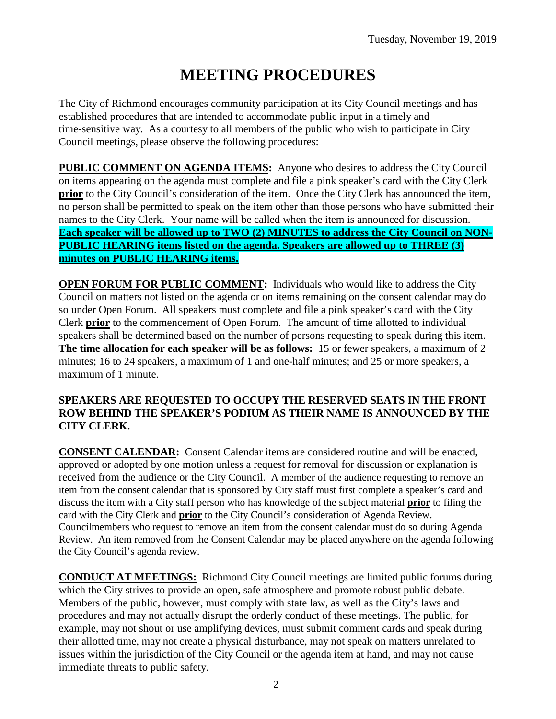# **MEETING PROCEDURES**

The City of Richmond encourages community participation at its City Council meetings and has established procedures that are intended to accommodate public input in a timely and time-sensitive way. As a courtesy to all members of the public who wish to participate in City Council meetings, please observe the following procedures:

**PUBLIC COMMENT ON AGENDA ITEMS:** Anyone who desires to address the City Council on items appearing on the agenda must complete and file a pink speaker's card with the City Clerk **prior** to the City Council's consideration of the item. Once the City Clerk has announced the item, no person shall be permitted to speak on the item other than those persons who have submitted their names to the City Clerk. Your name will be called when the item is announced for discussion. **Each speaker will be allowed up to TWO (2) MINUTES to address the City Council on NON-PUBLIC HEARING items listed on the agenda. Speakers are allowed up to THREE (3) minutes on PUBLIC HEARING items.**

**OPEN FORUM FOR PUBLIC COMMENT:** Individuals who would like to address the City Council on matters not listed on the agenda or on items remaining on the consent calendar may do so under Open Forum. All speakers must complete and file a pink speaker's card with the City Clerk **prior** to the commencement of Open Forum. The amount of time allotted to individual speakers shall be determined based on the number of persons requesting to speak during this item. **The time allocation for each speaker will be as follows:** 15 or fewer speakers, a maximum of 2 minutes; 16 to 24 speakers, a maximum of 1 and one-half minutes; and 25 or more speakers, a maximum of 1 minute.

#### **SPEAKERS ARE REQUESTED TO OCCUPY THE RESERVED SEATS IN THE FRONT ROW BEHIND THE SPEAKER'S PODIUM AS THEIR NAME IS ANNOUNCED BY THE CITY CLERK.**

**CONSENT CALENDAR:** Consent Calendar items are considered routine and will be enacted, approved or adopted by one motion unless a request for removal for discussion or explanation is received from the audience or the City Council. A member of the audience requesting to remove an item from the consent calendar that is sponsored by City staff must first complete a speaker's card and discuss the item with a City staff person who has knowledge of the subject material **prior** to filing the card with the City Clerk and **prior** to the City Council's consideration of Agenda Review. Councilmembers who request to remove an item from the consent calendar must do so during Agenda Review. An item removed from the Consent Calendar may be placed anywhere on the agenda following the City Council's agenda review.

**CONDUCT AT MEETINGS:** Richmond City Council meetings are limited public forums during which the City strives to provide an open, safe atmosphere and promote robust public debate. Members of the public, however, must comply with state law, as well as the City's laws and procedures and may not actually disrupt the orderly conduct of these meetings. The public, for example, may not shout or use amplifying devices, must submit comment cards and speak during their allotted time, may not create a physical disturbance, may not speak on matters unrelated to issues within the jurisdiction of the City Council or the agenda item at hand, and may not cause immediate threats to public safety.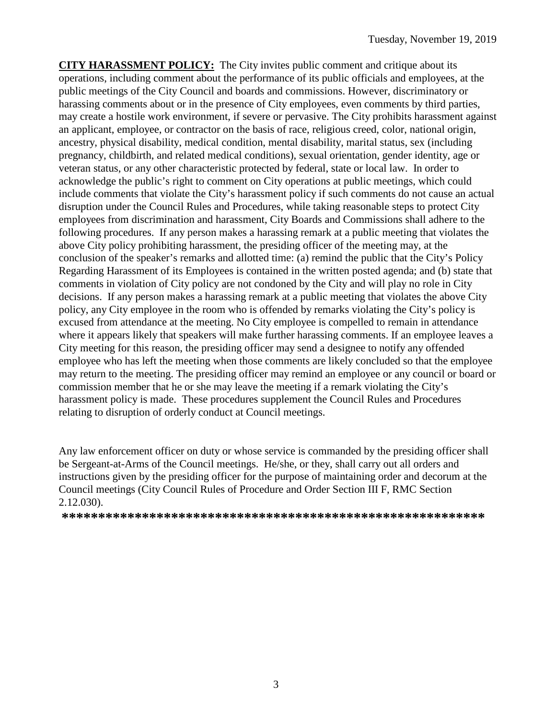**CITY HARASSMENT POLICY:** The City invites public comment and critique about its operations, including comment about the performance of its public officials and employees, at the public meetings of the City Council and boards and commissions. However, discriminatory or harassing comments about or in the presence of City employees, even comments by third parties, may create a hostile work environment, if severe or pervasive. The City prohibits harassment against an applicant, employee, or contractor on the basis of race, religious creed, color, national origin, ancestry, physical disability, medical condition, mental disability, marital status, sex (including pregnancy, childbirth, and related medical conditions), sexual orientation, gender identity, age or veteran status, or any other characteristic protected by federal, state or local law. In order to acknowledge the public's right to comment on City operations at public meetings, which could include comments that violate the City's harassment policy if such comments do not cause an actual disruption under the Council Rules and Procedures, while taking reasonable steps to protect City employees from discrimination and harassment, City Boards and Commissions shall adhere to the following procedures. If any person makes a harassing remark at a public meeting that violates the above City policy prohibiting harassment, the presiding officer of the meeting may, at the conclusion of the speaker's remarks and allotted time: (a) remind the public that the City's Policy Regarding Harassment of its Employees is contained in the written posted agenda; and (b) state that comments in violation of City policy are not condoned by the City and will play no role in City decisions. If any person makes a harassing remark at a public meeting that violates the above City policy, any City employee in the room who is offended by remarks violating the City's policy is excused from attendance at the meeting. No City employee is compelled to remain in attendance where it appears likely that speakers will make further harassing comments. If an employee leaves a City meeting for this reason, the presiding officer may send a designee to notify any offended employee who has left the meeting when those comments are likely concluded so that the employee may return to the meeting. The presiding officer may remind an employee or any council or board or commission member that he or she may leave the meeting if a remark violating the City's harassment policy is made. These procedures supplement the Council Rules and Procedures relating to disruption of orderly conduct at Council meetings.

Any law enforcement officer on duty or whose service is commanded by the presiding officer shall be Sergeant-at-Arms of the Council meetings. He/she, or they, shall carry out all orders and instructions given by the presiding officer for the purpose of maintaining order and decorum at the Council meetings (City Council Rules of Procedure and Order Section III F, RMC Section 2.12.030).

**\*\*\*\*\*\*\*\*\*\*\*\*\*\*\*\*\*\*\*\*\*\*\*\*\*\*\*\*\*\*\*\*\*\*\*\*\*\*\*\*\*\*\*\*\*\*\*\*\*\*\*\*\*\*\*\*\*\***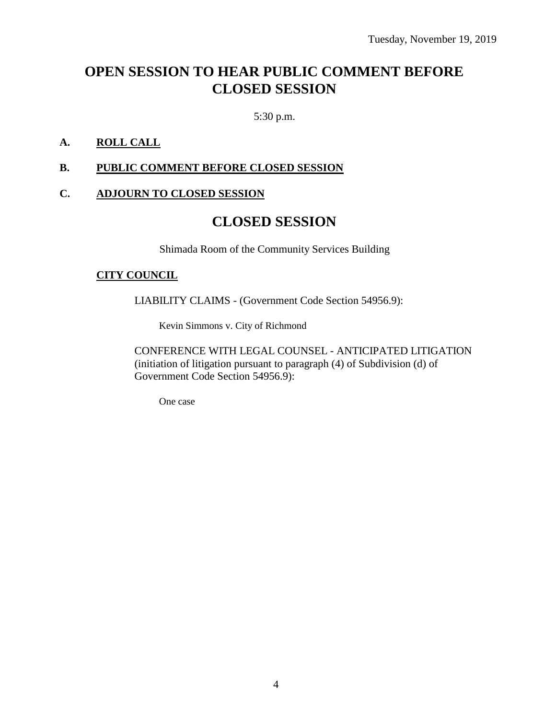# **OPEN SESSION TO HEAR PUBLIC COMMENT BEFORE CLOSED SESSION**

5:30 p.m.

#### **A. ROLL CALL**

#### **B. PUBLIC COMMENT BEFORE CLOSED SESSION**

#### **C. ADJOURN TO CLOSED SESSION**

## **CLOSED SESSION**

Shimada Room of the Community Services Building

#### **CITY COUNCIL**

LIABILITY CLAIMS - (Government Code Section 54956.9):

Kevin Simmons v. City of Richmond

CONFERENCE WITH LEGAL COUNSEL - ANTICIPATED LITIGATION (initiation of litigation pursuant to paragraph (4) of Subdivision (d) of Government Code Section 54956.9):

One case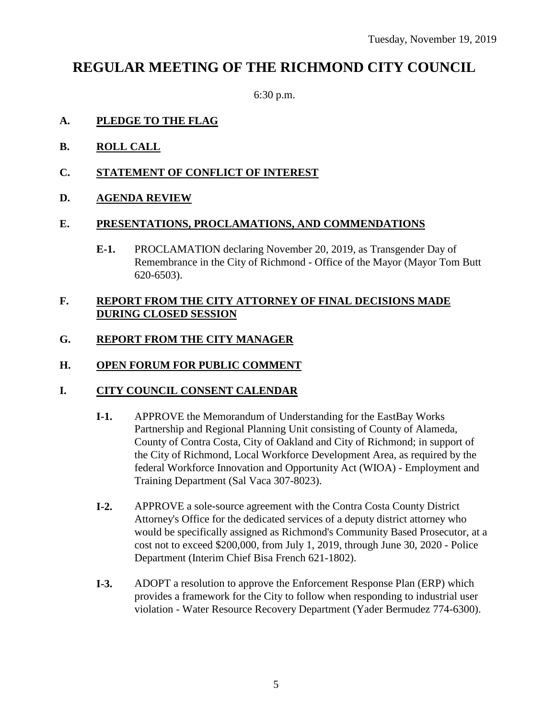# **REGULAR MEETING OF THE RICHMOND CITY COUNCIL**

6:30 p.m.

#### **A. PLEDGE TO THE FLAG**

- **B. ROLL CALL**
- **C. STATEMENT OF CONFLICT OF INTEREST**
- **D. AGENDA REVIEW**

#### **E. PRESENTATIONS, PROCLAMATIONS, AND COMMENDATIONS**

**E-1.** PROCLAMATION declaring November 20, 2019, as Transgender Day of Remembrance in the City of Richmond - Office of the Mayor (Mayor Tom Butt 620-6503).

#### **F. REPORT FROM THE CITY ATTORNEY OF FINAL DECISIONS MADE DURING CLOSED SESSION**

#### **G. REPORT FROM THE CITY MANAGER**

#### **H. OPEN FORUM FOR PUBLIC COMMENT**

#### **I. CITY COUNCIL CONSENT CALENDAR**

- **I-1.** APPROVE the Memorandum of Understanding for the EastBay Works Partnership and Regional Planning Unit consisting of County of Alameda, County of Contra Costa, City of Oakland and City of Richmond; in support of the City of Richmond, Local Workforce Development Area, as required by the federal Workforce Innovation and Opportunity Act (WIOA) - Employment and Training Department (Sal Vaca 307-8023).
- **I-2.** APPROVE a sole-source agreement with the Contra Costa County District Attorney's Office for the dedicated services of a deputy district attorney who would be specifically assigned as Richmond's Community Based Prosecutor, at a cost not to exceed \$200,000, from July 1, 2019, through June 30, 2020 - Police Department (Interim Chief Bisa French 621-1802).
- **I-3.** ADOPT a resolution to approve the Enforcement Response Plan (ERP) which provides a framework for the City to follow when responding to industrial user violation - Water Resource Recovery Department (Yader Bermudez 774-6300).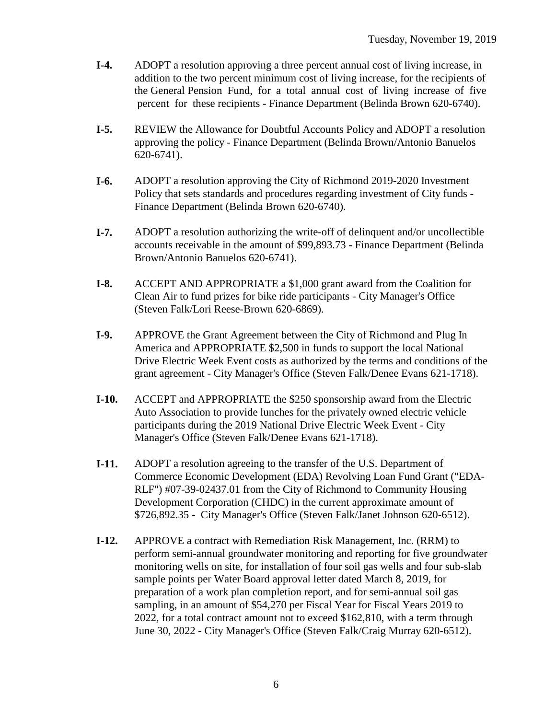- **I-4.** ADOPT a resolution approving a three percent annual cost of living increase, in addition to the two percent minimum cost of living increase, for the recipients of the General Pension Fund, for a total annual cost of living increase of five percent for these recipients - Finance Department (Belinda Brown 620-6740).
- **I-5.** REVIEW the Allowance for Doubtful Accounts Policy and ADOPT a resolution approving the policy - Finance Department (Belinda Brown/Antonio Banuelos 620-6741).
- **I-6.** ADOPT a resolution approving the City of Richmond 2019-2020 Investment Policy that sets standards and procedures regarding investment of City funds - Finance Department (Belinda Brown 620-6740).
- **I-7.** ADOPT a resolution authorizing the write-off of delinquent and/or uncollectible accounts receivable in the amount of \$99,893.73 - Finance Department (Belinda Brown/Antonio Banuelos 620-6741).
- **I-8.** ACCEPT AND APPROPRIATE a \$1,000 grant award from the Coalition for Clean Air to fund prizes for bike ride participants - City Manager's Office (Steven Falk/Lori Reese-Brown 620-6869).
- **I-9.** APPROVE the Grant Agreement between the City of Richmond and Plug In America and APPROPRIATE \$2,500 in funds to support the local National Drive Electric Week Event costs as authorized by the terms and conditions of the grant agreement - City Manager's Office (Steven Falk/Denee Evans 621-1718).
- **I-10.** ACCEPT and APPROPRIATE the \$250 sponsorship award from the Electric Auto Association to provide lunches for the privately owned electric vehicle participants during the 2019 National Drive Electric Week Event - City Manager's Office (Steven Falk/Denee Evans 621-1718).
- **I-11.** ADOPT a resolution agreeing to the transfer of the U.S. Department of Commerce Economic Development (EDA) Revolving Loan Fund Grant ("EDA-RLF") #07-39-02437.01 from the City of Richmond to Community Housing Development Corporation (CHDC) in the current approximate amount of \$726,892.35 - City Manager's Office (Steven Falk/Janet Johnson 620-6512).
- **I-12.** APPROVE a contract with Remediation Risk Management, Inc. (RRM) to perform semi-annual groundwater monitoring and reporting for five groundwater monitoring wells on site, for installation of four soil gas wells and four sub-slab sample points per Water Board approval letter dated March 8, 2019, for preparation of a work plan completion report, and for semi-annual soil gas sampling, in an amount of \$54,270 per Fiscal Year for Fiscal Years 2019 to 2022, for a total contract amount not to exceed \$162,810, with a term through June 30, 2022 - City Manager's Office (Steven Falk/Craig Murray 620-6512).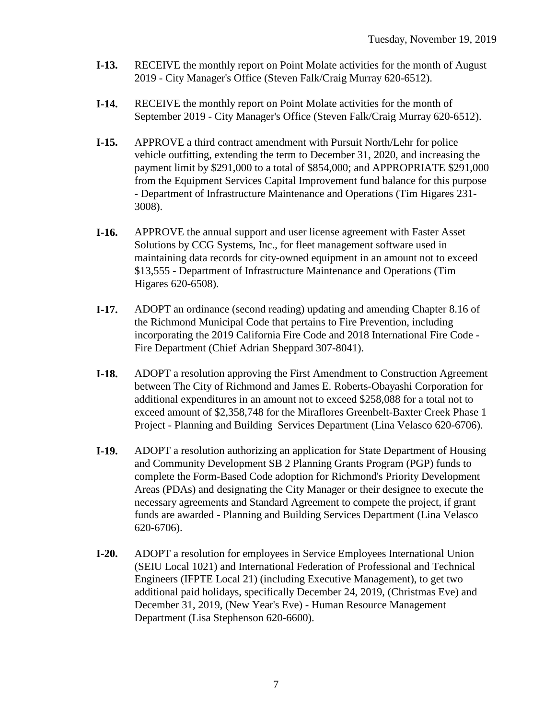- **I-13.** RECEIVE the monthly report on Point Molate activities for the month of August 2019 - City Manager's Office (Steven Falk/Craig Murray 620-6512).
- **I-14.** RECEIVE the monthly report on Point Molate activities for the month of September 2019 - City Manager's Office (Steven Falk/Craig Murray 620-6512).
- **I-15.** APPROVE a third contract amendment with Pursuit North/Lehr for police vehicle outfitting, extending the term to December 31, 2020, and increasing the payment limit by \$291,000 to a total of \$854,000; and APPROPRIATE \$291,000 from the Equipment Services Capital Improvement fund balance for this purpose - Department of Infrastructure Maintenance and Operations (Tim Higares 231- 3008).
- **I-16.** APPROVE the annual support and user license agreement with Faster Asset Solutions by CCG Systems, Inc., for fleet management software used in maintaining data records for city-owned equipment in an amount not to exceed \$13,555 - Department of Infrastructure Maintenance and Operations (Tim Higares 620-6508).
- **I-17.** ADOPT an ordinance (second reading) updating and amending Chapter 8.16 of the Richmond Municipal Code that pertains to Fire Prevention, including incorporating the 2019 California Fire Code and 2018 International Fire Code - Fire Department (Chief Adrian Sheppard 307-8041).
- **I-18.** ADOPT a resolution approving the First Amendment to Construction Agreement between The City of Richmond and James E. Roberts-Obayashi Corporation for additional expenditures in an amount not to exceed \$258,088 for a total not to exceed amount of \$2,358,748 for the Miraflores Greenbelt-Baxter Creek Phase 1 Project - Planning and Building Services Department (Lina Velasco 620-6706).
- **I-19.** ADOPT a resolution authorizing an application for State Department of Housing and Community Development SB 2 Planning Grants Program (PGP) funds to complete the Form-Based Code adoption for Richmond's Priority Development Areas (PDAs) and designating the City Manager or their designee to execute the necessary agreements and Standard Agreement to compete the project, if grant funds are awarded - Planning and Building Services Department (Lina Velasco 620-6706).
- **I-20.** ADOPT a resolution for employees in Service Employees International Union (SEIU Local 1021) and International Federation of Professional and Technical Engineers (IFPTE Local 21) (including Executive Management), to get two additional paid holidays, specifically December 24, 2019, (Christmas Eve) and December 31, 2019, (New Year's Eve) - Human Resource Management Department (Lisa Stephenson 620-6600).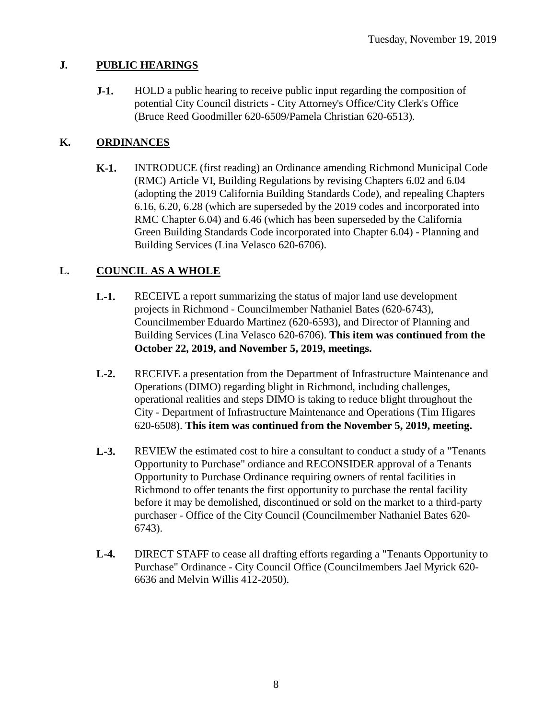### **J. PUBLIC HEARINGS**

**J-1.** HOLD a public hearing to receive public input regarding the composition of potential City Council districts - City Attorney's Office/City Clerk's Office (Bruce Reed Goodmiller 620-6509/Pamela Christian 620-6513).

### **K. ORDINANCES**

**K-1.** INTRODUCE (first reading) an Ordinance amending Richmond Municipal Code (RMC) Article VI, Building Regulations by revising Chapters 6.02 and 6.04 (adopting the 2019 California Building Standards Code), and repealing Chapters 6.16, 6.20, 6.28 (which are superseded by the 2019 codes and incorporated into RMC Chapter 6.04) and 6.46 (which has been superseded by the California Green Building Standards Code incorporated into Chapter 6.04) - Planning and Building Services (Lina Velasco 620-6706).

### **L. COUNCIL AS A WHOLE**

- **L-1.** RECEIVE a report summarizing the status of major land use development projects in Richmond - Councilmember Nathaniel Bates (620-6743), Councilmember Eduardo Martinez (620-6593), and Director of Planning and Building Services (Lina Velasco 620-6706). **This item was continued from the October 22, 2019, and November 5, 2019, meetings.**
- **L-2.** RECEIVE a presentation from the Department of Infrastructure Maintenance and Operations (DIMO) regarding blight in Richmond, including challenges, operational realities and steps DIMO is taking to reduce blight throughout the City - Department of Infrastructure Maintenance and Operations (Tim Higares 620-6508). **This item was continued from the November 5, 2019, meeting.**
- **L-3.** REVIEW the estimated cost to hire a consultant to conduct a study of a "Tenants Opportunity to Purchase" ordiance and RECONSIDER approval of a Tenants Opportunity to Purchase Ordinance requiring owners of rental facilities in Richmond to offer tenants the first opportunity to purchase the rental facility before it may be demolished, discontinued or sold on the market to a third-party purchaser - Office of the City Council (Councilmember Nathaniel Bates 620- 6743).
- **L-4.** DIRECT STAFF to cease all drafting efforts regarding a "Tenants Opportunity to Purchase" Ordinance - City Council Office (Councilmembers Jael Myrick 620- 6636 and Melvin Willis 412-2050).